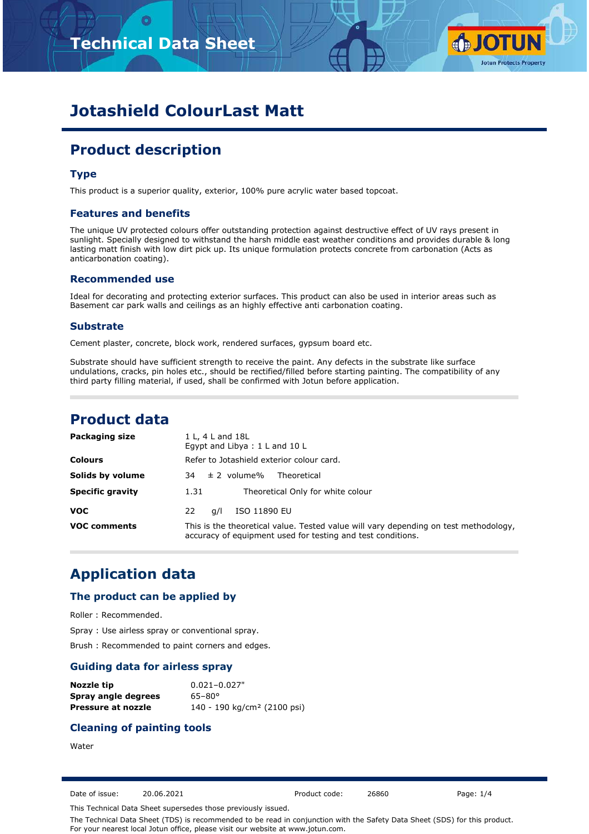# **Technical Data Sheet**



# **Jotashield ColourLast Matt**

# **Product description**

### **Type**

This product is a superior quality, exterior, 100% pure acrylic water based topcoat.

#### **Features and benefits**

The unique UV protected colours offer outstanding protection against destructive effect of UV rays present in sunlight. Specially designed to withstand the harsh middle east weather conditions and provides durable & long lasting matt finish with low dirt pick up. Its unique formulation protects concrete from carbonation (Acts as anticarbonation coating).

#### **Recommended use**

Ideal for decorating and protecting exterior surfaces. This product can also be used in interior areas such as Basement car park walls and ceilings as an highly effective anti carbonation coating.

#### **Substrate**

Cement plaster, concrete, block work, rendered surfaces, gypsum board etc.

Substrate should have sufficient strength to receive the paint. Any defects in the substrate like surface undulations, cracks, pin holes etc., should be rectified/filled before starting painting. The compatibility of any third party filling material, if used, shall be confirmed with Jotun before application.

### **Product data**

| Packaging size          | 1 L, 4 L and 18L<br>Egypt and Libya: 1 L and 10 L                                                                                                   |
|-------------------------|-----------------------------------------------------------------------------------------------------------------------------------------------------|
| <b>Colours</b>          | Refer to Jotashield exterior colour card.                                                                                                           |
| Solids by volume        | $\pm$ 2 volume%<br>Theoretical<br>34                                                                                                                |
| <b>Specific gravity</b> | Theoretical Only for white colour<br>1.31                                                                                                           |
| <b>VOC</b>              | ISO 11890 EU<br>22<br>a/l                                                                                                                           |
| <b>VOC comments</b>     | This is the theoretical value. Tested value will vary depending on test methodology,<br>accuracy of equipment used for testing and test conditions. |

# **Application data**

#### **The product can be applied by**

Roller : Recommended.

Spray : Use airless spray or conventional spray.

Brush : Recommended to paint corners and edges.

#### **Guiding data for airless spray**

| Nozzle tip          | $0.021 - 0.027$ "                       |
|---------------------|-----------------------------------------|
| Spray angle degrees | $65 - 80^{\circ}$                       |
| Pressure at nozzle  | 140 - 190 kg/cm <sup>2</sup> (2100 psi) |

#### **Cleaning of painting tools**

**Water** 

Date of issue: 20.06.2021 Product code: 26860 Page: 1/4

This Technical Data Sheet supersedes those previously issued.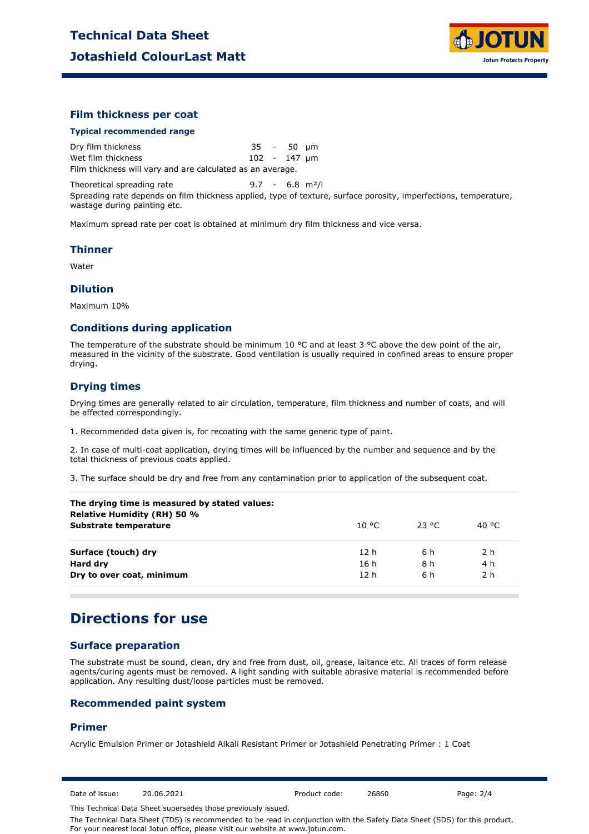

#### **Film thickness per coat**

#### **Typical recommended range**

Dry film thickness 35 - 50 µm Wet film thickness 102 - 147 µm Film thickness will vary and are calculated as an average.

Theoretical spreading rate 5.7 - 6.8 m<sup>2</sup>/l

Spreading rate depends on film thickness applied, type of texture, surface porosity, imperfections, temperature, wastage during painting etc.

Maximum spread rate per coat is obtained at minimum dry film thickness and vice versa.

#### **Thinner**

Water

#### **Dilution**

Maximum 10%

#### **Conditions during application**

The temperature of the substrate should be minimum 10 °C and at least 3 °C above the dew point of the air, measured in the vicinity of the substrate. Good ventilation is usually required in confined areas to ensure proper drying.

### **Drying times**

Drying times are generally related to air circulation, temperature, film thickness and number of coats, and will be affected correspondingly.

1. Recommended data given is, for recoating with the same generic type of paint.

2. In case of multi-coat application, drying times will be influenced by the number and sequence and by the total thickness of previous coats applied.

3. The surface should be dry and free from any contamination prior to application of the subsequent coat.

| 10 °C.          | 23 °C | 40 °C |
|-----------------|-------|-------|
| 12 h            | 6 h   | 2 h   |
| 16 h            | 8 h   | 4 h   |
| 12 <sub>h</sub> | 6 h   | 2 h   |
|                 |       |       |

### **Directions for use**

### **Surface preparation**

The substrate must be sound, clean, dry and free from dust, oil, grease, laitance etc. All traces of form release agents/curing agents must be removed. A light sanding with suitable abrasive material is recommended before application. Any resulting dust/loose particles must be removed.

#### **Recommended paint system**

#### **Primer**

Acrylic Emulsion Primer or Jotashield Alkali Resistant Primer or Jotashield Penetrating Primer : 1 Coat

Date of issue: 20.06.2021 Product code: 26860 Page: 2/4

This Technical Data Sheet supersedes those previously issued.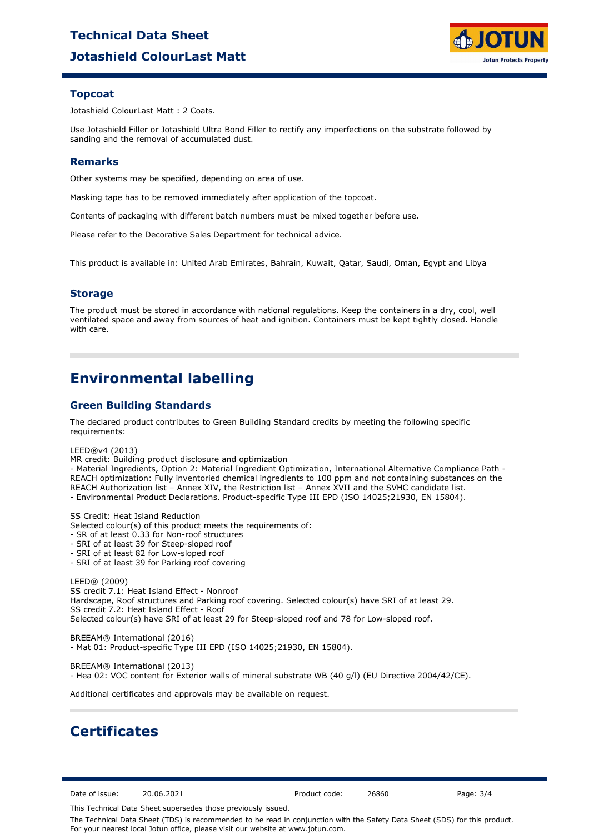# **Jotashield ColourLast Matt Technical Data Sheet**



### **Topcoat**

Jotashield ColourLast Matt : 2 Coats.

Use Jotashield Filler or Jotashield Ultra Bond Filler to rectify any imperfections on the substrate followed by sanding and the removal of accumulated dust.

### **Remarks**

Other systems may be specified, depending on area of use.

Masking tape has to be removed immediately after application of the topcoat.

Contents of packaging with different batch numbers must be mixed together before use.

Please refer to the Decorative Sales Department for technical advice.

This product is available in: United Arab Emirates, Bahrain, Kuwait, Qatar, Saudi, Oman, Egypt and Libya

### **Storage**

The product must be stored in accordance with national regulations. Keep the containers in a dry, cool, well ventilated space and away from sources of heat and ignition. Containers must be kept tightly closed. Handle with care.

# **Environmental labelling**

### **Green Building Standards**

The declared product contributes to Green Building Standard credits by meeting the following specific requirements:

LEED®v4 (2013)

MR credit: Building product disclosure and optimization

- Material Ingredients, Option 2: Material Ingredient Optimization, International Alternative Compliance Path - REACH optimization: Fully inventoried chemical ingredients to 100 ppm and not containing substances on the REACH Authorization list – Annex XIV, the Restriction list – Annex XVII and the SVHC candidate list. - Environmental Product Declarations. Product-specific Type III EPD (ISO 14025;21930, EN 15804).

SS Credit: Heat Island Reduction

Selected colour(s) of this product meets the requirements of:

- SR of at least 0.33 for Non-roof structures

- SRI of at least 39 for Steep-sloped roof
- SRI of at least 82 for Low-sloped roof
- SRI of at least 39 for Parking roof covering

LEED® (2009) SS credit 7.1: Heat Island Effect - Nonroof Hardscape, Roof structures and Parking roof covering. Selected colour(s) have SRI of at least 29. SS credit 7.2: Heat Island Effect - Roof Selected colour(s) have SRI of at least 29 for Steep-sloped roof and 78 for Low-sloped roof.

BREEAM® International (2016) - Mat 01: Product-specific Type III EPD (ISO 14025;21930, EN 15804).

BREEAM® International (2013) - Hea 02: VOC content for Exterior walls of mineral substrate WB (40 g/l) (EU Directive 2004/42/CE).

Additional certificates and approvals may be available on request.

## **Certificates**

Date of issue: 20.06.2021 Product code: 26860 Page: 3/4

This Technical Data Sheet supersedes those previously issued.